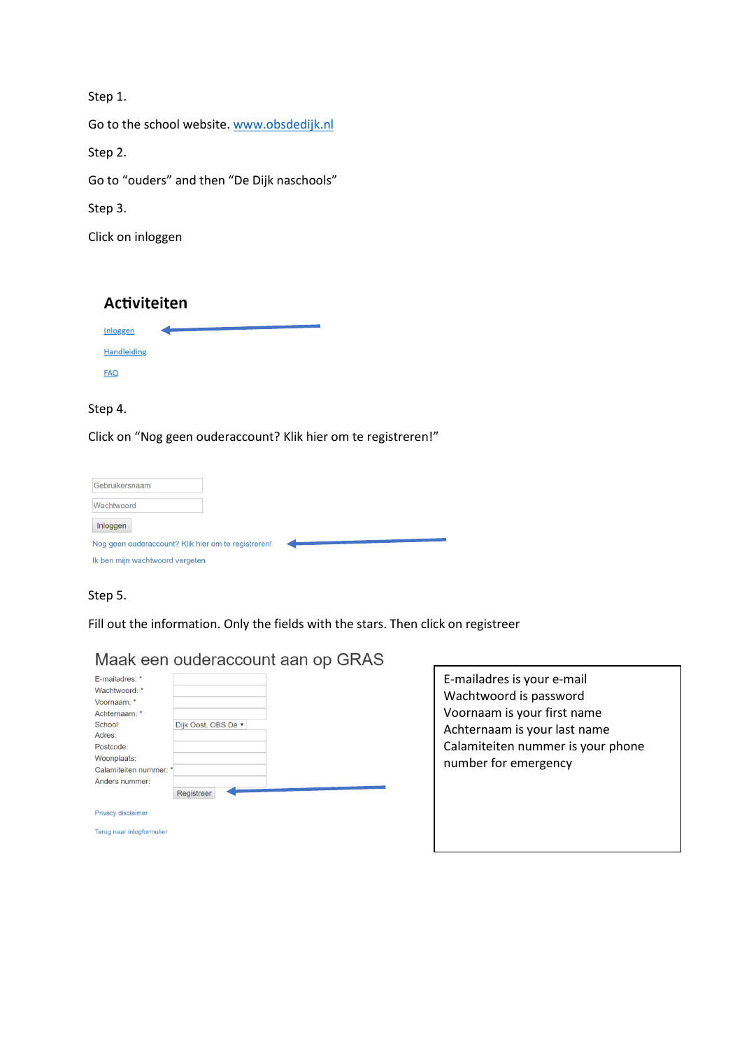Step 1.

Go to the school website. [www.obsdedijk.nl](http://www.obsdedijk.nl/)

Step 2.

Go to "ouders" and then "De Dijk naschools"

Step 3.

Click on inloggen

# Activiteiten



#### Step 4.

Click on "Nog geen ouderaccount? Klik hier om te registreren!"

| Gebruikersnaam                                      |  |  |
|-----------------------------------------------------|--|--|
| Wachtwoord                                          |  |  |
| Inloggen                                            |  |  |
| Nog geen ouderaccount? Klik hier om te registreren! |  |  |
| Ik ben mijn wachtwoord vergeten                     |  |  |

## Step 5.

Fill out the information. Only the fields with the stars. Then click on registreer

|                           | Maak een ouderaccount aan op GRAS |
|---------------------------|-----------------------------------|
| E-mailadres: *            |                                   |
| Wachtwoord: *             |                                   |
| Voornaam: *               |                                   |
| Achternaam: *             |                                   |
| School:                   | Dijk Oost, OBS De ▼               |
| Adres:                    |                                   |
| Postcode:                 |                                   |
| Woonplaats:               |                                   |
| Calamiteiten nummer: *    |                                   |
| Anders nummer:            |                                   |
|                           | Registreer                        |
| <b>Privacy disclaimer</b> |                                   |
| Terus noor inlogformulier |                                   |

E-mailadres is your e-mail Wachtwoord is password Voornaam is your first name Achternaam is your last name Calamiteiten nummer is your phone number for emergency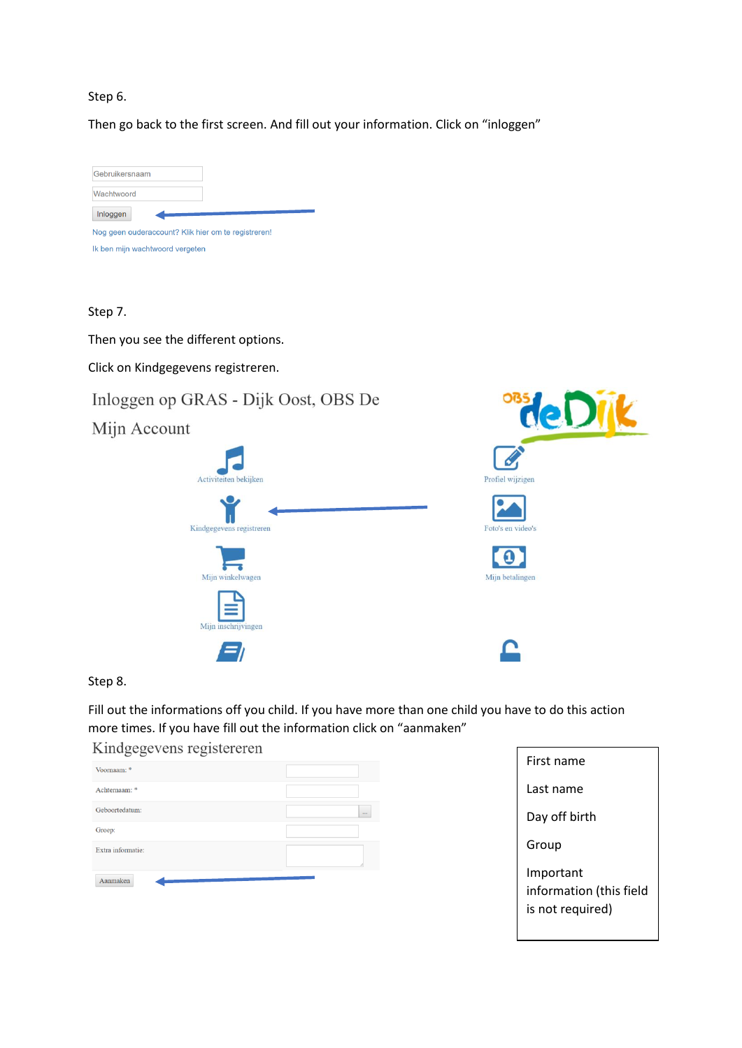## Step 6.

Then go back to the first screen. And fill out your information. Click on "inloggen"



### Step 7.

Then you see the different options.

Click on Kindgegevens registreren.





## Step 8.

Fill out the informations off you child. If you have more than one child you have to do this action more times. If you have fill out the information click on "aanmaken"

# Kindgegevens registereren

| Voornaam: *       |          |
|-------------------|----------|
| Achternaam: *     |          |
| Geboortedatum:    | $\cdots$ |
| Groep:            |          |
| Extra informatie: |          |
| Aanmaken          |          |

| First name                                               |
|----------------------------------------------------------|
| Last name                                                |
| Day off birth                                            |
| Group                                                    |
| Important<br>information (this field<br>is not required) |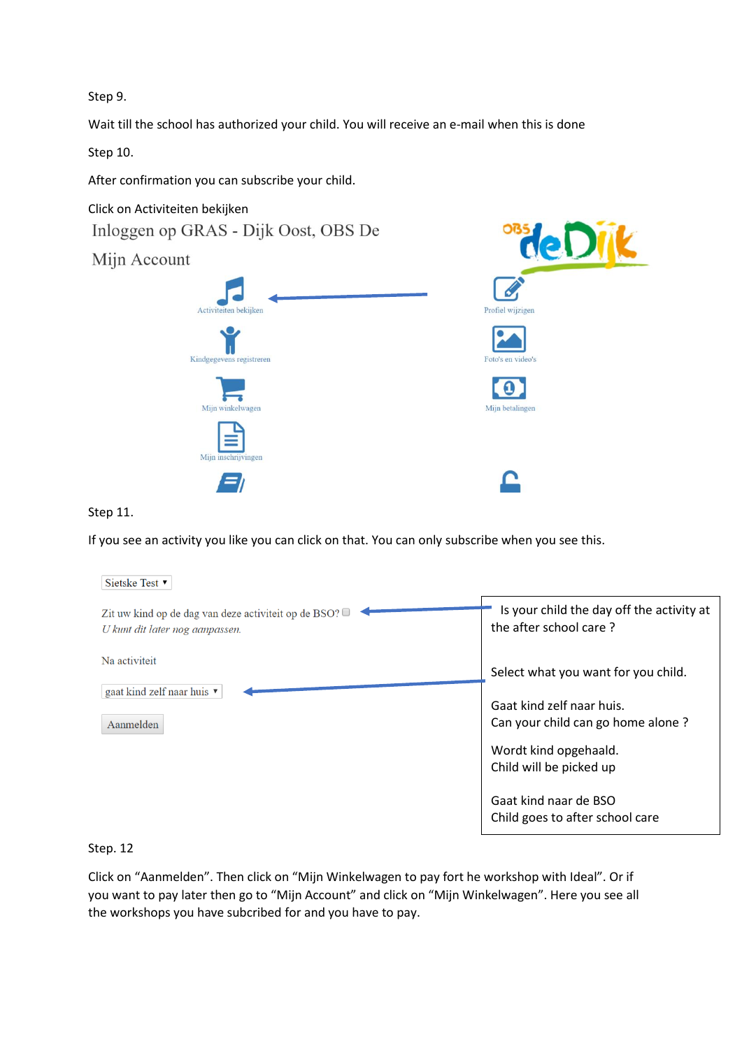Step 9.

Wait till the school has authorized your child. You will receive an e-mail when this is done

Step 10.

After confirmation you can subscribe your child.

Click on Activiteiten bekijken Inloggen op GRAS - Dijk Oost, OBS De

Mijn Account





## Step 11.

If you see an activity you like you can click on that. You can only subscribe when you see this.

| Sietske Test ▼                                                                          |                                                                     |
|-----------------------------------------------------------------------------------------|---------------------------------------------------------------------|
| Zit uw kind op de dag van deze activiteit op de BSO?<br>U kunt dit later nog aanpassen. | Is your child the day off the activity at<br>the after school care? |
| Na activiteit                                                                           | Select what you want for you child.                                 |
| gaat kind zelf naar huis $\blacktriangledown$<br>Aanmelden                              | Gaat kind zelf naar huis.<br>Can your child can go home alone?      |
|                                                                                         | Wordt kind opgehaald.<br>Child will be picked up                    |
|                                                                                         | Gaat kind naar de BSO<br>Child goes to after school care            |

## Step. 12

Click on "Aanmelden". Then click on "Mijn Winkelwagen to pay fort he workshop with Ideal". Or if you want to pay later then go to "Mijn Account" and click on "Mijn Winkelwagen". Here you see all the workshops you have subcribed for and you have to pay.